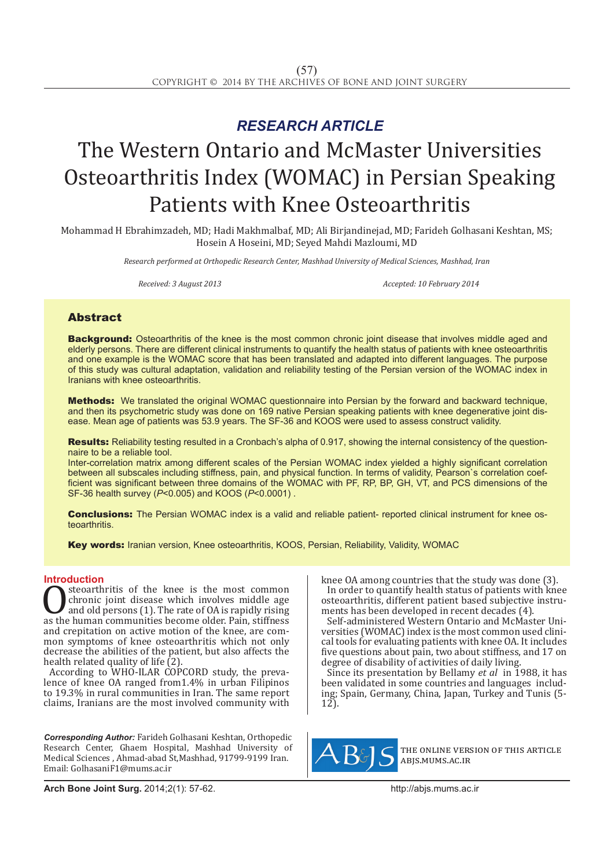# *RESEARCH ARTICLE*

# The Western Ontario and McMaster Universities Osteoarthritis Index (WOMAC) in Persian Speaking Patients with Knee Osteoarthritis

Mohammad H Ebrahimzadeh, MD; Hadi Makhmalbaf, MD; Ali Birjandinejad, MD; Farideh Golhasani Keshtan, MS; Hosein A Hoseini, MD; Seyed Mahdi Mazloumi, MD

*Research performed at Orthopedic Research Center, Mashhad University of Medical Sciences, Mashhad, Iran*

*Received: 3 August 2013 Accepted: 10 February 2014*

# Abstract

**Background:** Osteoarthritis of the knee is the most common chronic joint disease that involves middle aged and elderly persons. There are different clinical instruments to quantify the health status of patients with knee osteoarthritis and one example is the WOMAC score that has been translated and adapted into different languages. The purpose of this study was cultural adaptation, validation and reliability testing of the Persian version of the WOMAC index in Iranians with knee osteoarthritis.

Methods: We translated the original WOMAC questionnaire into Persian by the forward and backward technique, and then its psychometric study was done on 169 native Persian speaking patients with knee degenerative joint disease. Mean age of patients was 53.9 years. The SF-36 and KOOS were used to assess construct validity.

Results: Reliability testing resulted in a Cronbach's alpha of 0.917, showing the internal consistency of the questionnaire to be a reliable tool.

Inter-correlation matrix among different scales of the Persian WOMAC index yielded a highly significant correlation between all subscales including stiffness, pain, and physical function. In terms of validity, Pearson`s correlation coefficient was significant between three domains of the WOMAC with PF, RP, BP, GH, VT, and PCS dimensions of the SF-36 health survey (*P*<0.005) and KOOS (*P*<0.0001) .

**Conclusions:** The Persian WOMAC index is a valid and reliable patient- reported clinical instrument for knee osteoarthritis.

Key words: Iranian version, Knee osteoarthritis, KOOS, Persian, Reliability, Validity, WOMAC

**Introduction**<br>steoarthritis of the knee is the most common **OSECONTIFITY SOUTHERRY CONTROLLED SURFERENT CONTROLLED STATE AND ASSEMBLY STATE AND ASSEMBLY A SURFERENCE AS THE ANNO STATE AND A CONTROLLED AND A CONTROLLED AND A CONTROLLED AND A CONTROLLED AND A CONTROLLED AND A CONTRO** chronic joint disease which involves middle age and old persons (1). The rate of OA is rapidly rising and crepitation on active motion of the knee, are common symptoms of knee osteoarthritis which not only decrease the abilities of the patient, but also affects the health related quality of life (2).

According to WHO-ILAR COPCORD study, the prevalence of knee OA ranged from 1.4% in urban Filipinos to 19.3% in rural communities in Iran. The same report claims, Iranians are the most involved community with

*Corresponding Author:* Farideh Golhasani Keshtan, Orthopedic Research Center, Ghaem Hospital, Mashhad University of Medical Sciences , Ahmad-abad St,Mashhad, 91799-9199 Iran. Email: GolhasaniF1@mums.ac.ir

knee OA among countries that the study was done (3). In order to quantify health status of patients with knee osteoarthritis, different patient based subjective instruments has been developed in recent decades (4).

Self-administered Western Ontario and McMaster Universities (WOMAC) index is the most common used clinical tools for evaluating patients with knee OA. It includes five questions about pain, two about stiffness, and 17 on degree of disability of activities of daily living.

Since its presentation by Bellamy *et al* in 1988, it has been validated in some countries and languages including; Spain, Germany, China, Japan, Turkey and Tunis (5- 12).



the online version of this article abjs.mums.ac.ir

**Arch Bone Joint Surg.** 2014;2(1): 57-62.http://abjs.mums.ac.ir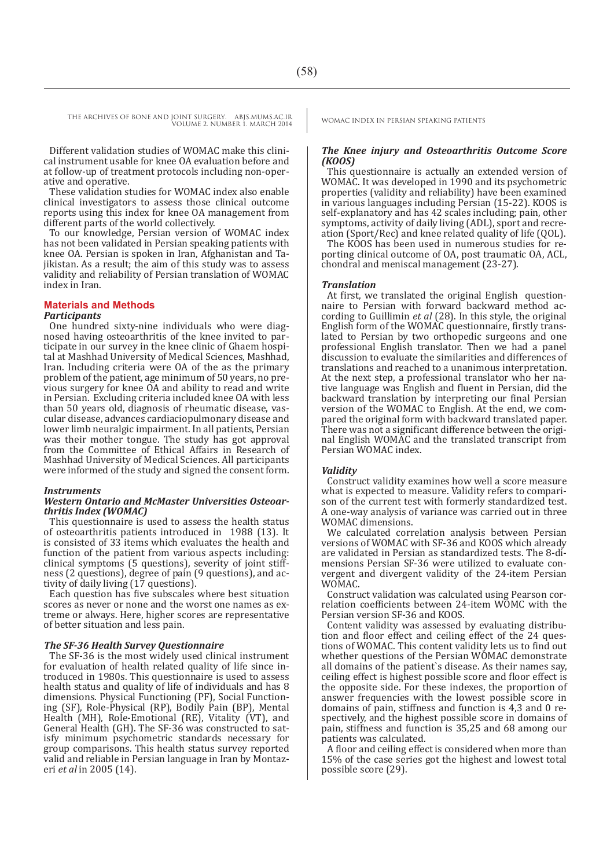Different validation studies of WOMAC make this clinical instrument usable for knee OA evaluation before and at follow-up of treatment protocols including non-operative and operative.

These validation studies for WOMAC index also enable clinical investigators to assess those clinical outcome reports using this index for knee OA management from different parts of the world collectively.

To our knowledge, Persian version of WOMAC index has not been validated in Persian speaking patients with knee OA. Persian is spoken in Iran, Afghanistan and Tajikistan. As a result; the aim of this study was to assess validity and reliability of Persian translation of WOMAC index in Iran.

#### **Materials and Methods** *Participants*

One hundred sixty-nine individuals who were diag-<br>nosed having osteoarthritis of the knee invited to participate in our survey in the knee clinic of Ghaem hospital at Mashhad University of Medical Sciences, Mashhad, Iran. Including criteria were OA of the as the primary problem of the patient, age minimum of 50 years, no previous surgery for knee OA and ability to read and write in Persian. Excluding criteria included knee OA with less cular disease, advances cardiaciopulmonary disease and lower limb neuralgic impairment. In all patients, Persian was their mother tongue. The study has got approval from the Committee of Ethical Affairs in Research of Mashhad University of Medical Sciences. All participants were informed of the study and signed the consent form.

# *Instruments*

# *Western Ontario and McMaster Universities Osteoar- thritis Index (WOMAC)*

This questionnaire is used to assess the health status of osteoarthritis patients introduced in 1988 (13). It is consisted of 33 items which evaluates the health and function of the patient from various aspects including: clinical symptoms (5 questions), severity of joint stiffness (2 questions), degree of pain (9 questions), and activity of daily living (17 questions).

Each question has five subscales where best situation scores as never or none and the worst one names as extreme or always. Here, higher scores are representative of better situation and less pain.

# *The SF-36 Health Survey Questionnaire*

The SF-36 is the most widely used clinical instrument for evaluation of health related quality of life since introduced in 1980s. This questionnaire is used to assess health status and quality of life of individuals and has 8 dimensions. Physical Functioning (PF), Social Functiondimensions. Physical Functioning (PF), Social Function- ing (SF), Role-Physical (RP), Bodily Pain (BP), Mental Health (MH), Role-Emotional (RE), Vitality (VT), and General Health (GH). The SF-36 was constructed to satisfy minimum psychometric standards necessary for group comparisons. This health status survey reported valid and reliable in Persian language in Iran by Montazeri *et al* in 2005 (14).

# *The Knee injury and Osteoarthritis Outcome Score (KOOS)*

This questionnaire is actually an extended version of WOMAC. It was developed in 1990 and its psychometric properties (validity and reliability) have been examined in various languages including Persian (15-22). KOOS is self-explanatory and has 42 scales including; pain, other symptoms, activity of daily living (ADL), sport and recreation (Sport/Rec) and knee related quality of life (QOL).

The KOOS has been used in numerous studies for reporting clinical outcome of OA, post traumatic OA, ACL, chondral and meniscal management (23-27).

## *Translation*

At first, we translated the original English questionnaire to Persian with forward backward method according to Guillimin *et al* (28). In this style, the original English form of the WOMAC questionnaire, firstly translated to Persian by two orthopedic surgeons and one professional English translator. Then we had a panel discussion to evaluate the similarities and differences of translations and reached to a unanimous interpretation. At the next step, a professional translator who her native language was English and fluent in Persian, did the backward translation by interpreting our final Persian version of the WOMAC to English. At the end, we compared the original form with backward translated paper. There was not a significant difference between the original English WOMAC and the translated transcript from Persian WOMAC index.

# *Validity*

Construct validity examines how well a score measure what is expected to measure. Validity refers to comparison of the current test with formerly standardized test. A one-way analysis of variance was carried out in three WOMAC dimensions.

We calculated correlation analysis between Persian versions of WOMAC with SF-36 and KOOS which already are validated in Persian as standardized tests. The 8-dimensions Persian SF-36 were utilized to evaluate convergent and divergent validity of the 24-item Persian WOMAC.

Construct validation was calculated using Pearson correlation coefficients between 24-item WOMC with the Persian version SF-36 and KOOS.

Content validity was assessed by evaluating distribution and floor effect and ceiling effect of the 24 questions of WOMAC. This content validity lets us to find out whether questions of the Persian WOMAC demonstrate all domains of the patient`s disease. As their names say, ceiling effect is highest possible score and floor effect is the opposite side. For these indexes, the proportion of answer frequencies with the lowest possible score in domains of pain, stiffness and function is 4,3 and 0 respectively, and the highest possible score in domains of pain, stiffness and function is 35,25 and 68 among our patients was calculated.

A floor and ceiling effect is considered when more than 15% of the case series got the highest and lowest total possible score (29).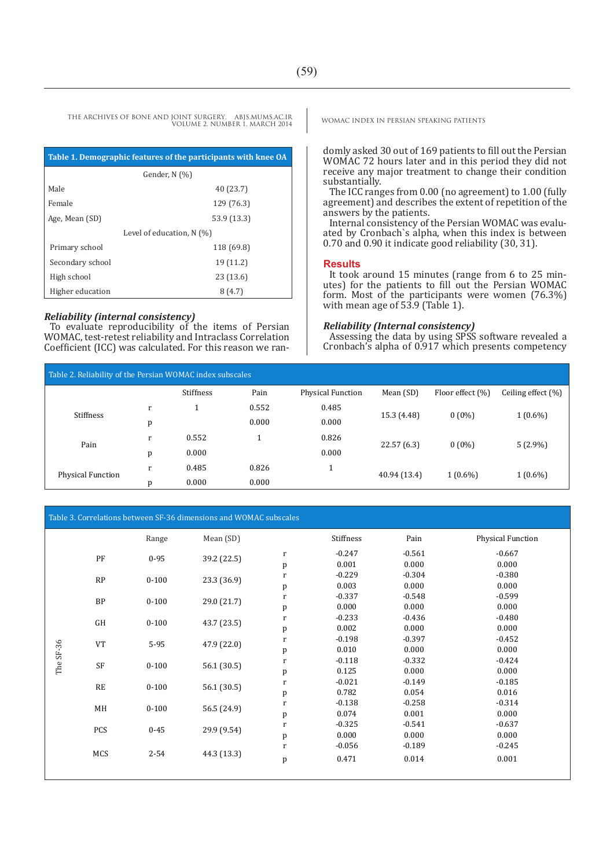THE ARCHIVES OF BONE AND JOINT SURGERY. ABJS.MUMS.AC.IR VOLUME 2. NUMBER 1. MARCH 2014

| Table 1. Demographic features of the participants with knee OA |             |  |  |  |
|----------------------------------------------------------------|-------------|--|--|--|
| Gender, N (%)                                                  |             |  |  |  |
| Male                                                           | 40 (23.7)   |  |  |  |
| Female                                                         | 129 (76.3)  |  |  |  |
| Age, Mean (SD)                                                 | 53.9 (13.3) |  |  |  |
| Level of education, $N(\%)$                                    |             |  |  |  |
| Primary school                                                 | 118 (69.8)  |  |  |  |
| Secondary school                                               | 19 (11.2)   |  |  |  |
| High school                                                    | 23(13.6)    |  |  |  |
| Higher education                                               | 8(4.7)      |  |  |  |

# *Reliability (internal consistency)*

To evaluate reproducibility of the items of Persian WOMAC, test-retest reliability and Intraclass Correlation Coefficient (ICC) was calculated. For this reason we ranWOMAC INDEX IN PERSIAN SPEAKING PATIENTS

domly asked 30 out of 169 patients to fill out the Persian WOMAC 72 hours later and in this period they did not receive any major treatment to change their condition substantially.

The ICC ranges from 0.00 (no agreement) to 1.00 (fully agreement) and describes the extent of repetition of the answers by the patients.

Internal consistency of the Persian WOMAC was evaluated by Cronbach`s alpha, when this index is between 0.70 and 0.90 it indicate good reliability (30, 31).

# **Results**

It took around 15 minutes (range from 6 to 25 minutes) for the patients to fill out the Persian WOMAC form. Most of the participants were women (76.3%) with mean age of 53.9 (Table 1).

# *Reliability (Internal consistency)*

Assessing the data by using SPSS software revealed a Cronbach's alpha of 0.917 which presents competency

| Table 2. Reliability of the Persian WOMAC index subscales |   |                  |       |                          |              |                  |                        |
|-----------------------------------------------------------|---|------------------|-------|--------------------------|--------------|------------------|------------------------|
|                                                           |   | <b>Stiffness</b> | Pain  | <b>Physical Function</b> | Mean (SD)    | Floor effect (%) | Ceiling effect $(\% )$ |
| Stiffness                                                 | r |                  | 0.552 | 0.485                    |              | $0(0\%)$         | $1(0.6\%)$             |
|                                                           | p |                  | 0.000 | 0.000                    | 15.3 (4.48)  |                  |                        |
| Pain                                                      | r | 0.552            |       | 0.826                    | 22.57(6.3)   | $0(0\%)$         | $5(2.9\%)$             |
|                                                           | D | 0.000            |       | 0.000                    |              |                  |                        |
| <b>Physical Function</b>                                  | r | 0.485            | 0.826 |                          |              | $1(0.6\%)$       | $1(0.6\%)$             |
|                                                           | p | 0.000            | 0.000 |                          | 40.94 (13.4) |                  |                        |

Table 3. Correlations between SF-36 dimensions and WOMAC subscales

|                   |                        | Range       | Mean (SD)   |              | Stiffness | Pain     | Physical Function |
|-------------------|------------------------|-------------|-------------|--------------|-----------|----------|-------------------|
|                   |                        |             |             |              |           |          | $-0.667$          |
|                   | PF                     | $0 - 95$    | 39.2 (22.5) | $\bf r$      | $-0.247$  | $-0.561$ |                   |
|                   |                        |             |             | p            | 0.001     | 0.000    | 0.000             |
|                   | RP                     | $0 - 100$   | 23.3 (36.9) | $\mathbf r$  | $-0.229$  | $-0.304$ | $-0.380$          |
|                   |                        |             |             | p            | 0.003     | 0.000    | 0.000             |
|                   | <b>BP</b>              | $0 - 100$   | 29.0 (21.7) | $\bf r$      | $-0.337$  | $-0.548$ | $-0.599$          |
|                   |                        |             |             | $\, {\bf p}$ | 0.000     | 0.000    | 0.000             |
|                   | $\mathsf{G}\mathsf{H}$ | $0 - 100$   |             | $\bf r$      | $-0.233$  | $-0.436$ | $-0.480$          |
|                   |                        |             | 43.7 (23.5) | p            | 0.002     | 0.000    | 0.000             |
|                   |                        |             |             | $\mathbf r$  | $-0.198$  | $-0.397$ | $-0.452$          |
|                   | <b>VT</b>              | $5-95$      | 47.9 (22.0) | $\, {\bf p}$ | 0.010     | 0.000    | 0.000             |
| The SF-36         |                        |             |             | $\mathbf r$  | $-0.118$  | $-0.332$ | $-0.424$          |
|                   | SF                     | $0 - 100$   | 56.1(30.5)  | $\, {\bf p}$ | 0.125     | 0.000    | 0.000             |
|                   |                        |             |             | $\bf r$      | $-0.021$  | $-0.149$ | $-0.185$          |
|                   | $\mathbf{RE}$          | $0 - 100$   | 56.1 (30.5) | $\, {\bf p}$ | 0.782     | 0.054    | 0.016             |
|                   |                        |             |             | $\mathbf r$  | $-0.138$  | $-0.258$ | $-0.314$          |
|                   | MH                     | $0 - 100$   | 56.5 (24.9) | p            | 0.074     | 0.001    | 0.000             |
|                   |                        |             |             | $\bf r$      | $-0.325$  | $-0.541$ | $-0.637$          |
| <b>PCS</b><br>MCS | $0 - 45$               | 29.9 (9.54) | p           | 0.000        | 0.000     | 0.000    |                   |
|                   |                        |             | $\mathbf r$ | $-0.056$     | $-0.189$  | $-0.245$ |                   |
|                   |                        | $2 - 54$    | 44.3 (13.3) | p            | 0.471     | 0.014    | 0.001             |
|                   |                        |             |             |              |           |          |                   |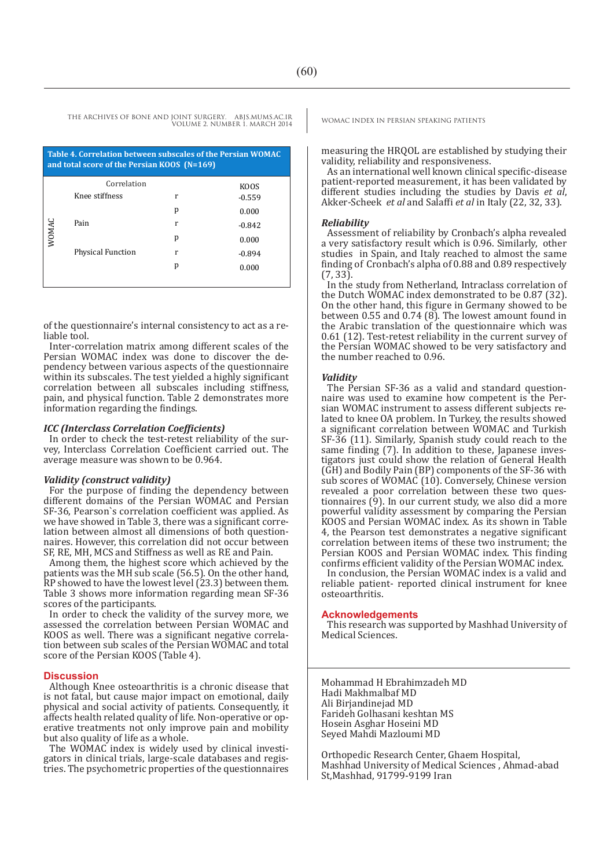| Table 4. Correlation between subscales of the Persian WOMAC<br>and total score of the Persian KOOS (N=169) |                          |   |          |  |  |
|------------------------------------------------------------------------------------------------------------|--------------------------|---|----------|--|--|
|                                                                                                            | Correlation              |   | KOOS     |  |  |
|                                                                                                            | Knee stiffness           | r | $-0.559$ |  |  |
|                                                                                                            |                          | р | 0.000    |  |  |
|                                                                                                            | Pain                     | r | $-0.842$ |  |  |
| WOMAC                                                                                                      |                          | р | 0.000    |  |  |
|                                                                                                            | <b>Physical Function</b> | r | $-0.894$ |  |  |
|                                                                                                            |                          | р | 0.000    |  |  |
|                                                                                                            |                          |   |          |  |  |

of the questionnaire's internal consistency to act as a reliable tool.

Inter-correlation matrix among different scales of the Persian WOMAC index was done to discover the dependency between various aspects of the questionnaire within its subscales. The test yielded a highly significant correlation between all subscales including stiffness, pain, and physical function. Table 2 demonstrates more information regarding the findings.

# *ICC (Interclass Correlation Coefficients)*

In order to check the test-retest reliability of the survey, Interclass Correlation Coefficient carried out. The average measure was shown to be 0.964.

# *Validity (construct validity)*

For the purpose of finding the dependency between different domains of the Persian WOMAC and Persian SF-36, Pearson`s correlation coefficient was applied. As we have showed in Table 3, there was a significant correlation between almost all dimensions of both questionnaires. However, this correlation did not occur between SF, RE, MH, MCS and Stiffness as well as RE and Pain.

Among them, the highest score which achieved by the patients was the MH sub scale (56.5). On the other hand, RP showed to have the lowest level (23.3) between them. Table 3 shows more information regarding mean SF-36 scores of the participants.

In order to check the validity of the survey more, we assessed the correlation between Persian WOMAC and KOOS as well. There was a significant negative correlation between sub scales of the Persian WOMAC and total score of the Persian KOOS (Table 4).

# **Discussion**

Although Knee osteoarthritis is a chronic disease that is not fatal, but cause major impact on emotional, daily physical and social activity of patients. Consequently, it affects health related quality of life. Non-operative or operative treatments not only improve pain and mobility but also quality of life as a whole.

The WOMAC index is widely used by clinical investigators in clinical trials, large-scale databases and registries. The psychometric properties of the questionnaires

measuring the HRQOL are established by studying their validity, reliability and responsiveness.

As an international well known clinical specific-disease patient-reported measurement, it has been validated by different studies including the studies by Davis *et al*, Akker-Scheek *et al* and Salaffi *et al* in Italy (22, 32, 33).

## *Reliability*

Assessment of reliability by Cronbach's alpha revealed a very satisfactory result which is 0.96. Similarly, other studies in Spain, and Italy reached to almost the same finding of Cronbach's alpha of 0.88 and 0.89 respectively  $(7, 33)$ .

In the study from Netherland, Intraclass correlation of the Dutch WOMAC index demonstrated to be 0.87 (32). On the other hand, this figure in Germany showed to be between 0.55 and 0.74 (8). The lowest amount found in the Arabic translation of the questionnaire which was 0.61 (12). Test-retest reliability in the current survey of the Persian WOMAC showed to be very satisfactory and the number reached to 0.96.

**Validity**<br>The Persian SF-36 as a valid and standard questionnaire was used to examine how competent is the Persian WOMAC instrument to assess different subjects related to knee OA problem. In Turkey, the results showed a significant correlation between WOMAC and Turkish SF-36 (11). Similarly, Spanish study could reach to the same finding (7). In addition to these, Japanese investigators just could show the relation of General Health (GH) and Bodily Pain (BP) components of the SF-36 with sub scores of WOMAC (10). Conversely, Chinese version revealed a poor correlation between these two questionnaires  $(9)$ . In our current study, we also did a more powerful validity assessment by comparing the Persian KOOS and Persian WOMAC index. As its shown in Table 4, the Pearson test demonstrates a negative significant correlation between items of these two instrument; the Persian KOOS and Persian WOMAC index. This finding confirms efficient validity of the Persian WOMAC index.

In conclusion, the Persian WOMAC index is a valid and reliable patient- reported clinical instrument for knee osteoarthritis.

### **Acknowledgements**

This research was supported by Mashhad University of Medical Sciences.

Mohammad H Ebrahimzadeh MD Hadi Makhmalbaf MD Ali Birjandinejad MD Farideh Golhasani keshtan MS Hosein Asghar Hoseini MD Seyed Mahdi Mazloumi MD

Orthopedic Research Center, Ghaem Hospital, Mashhad University of Medical Sciences , Ahmad-abad St,Mashhad, 91799-9199 Iran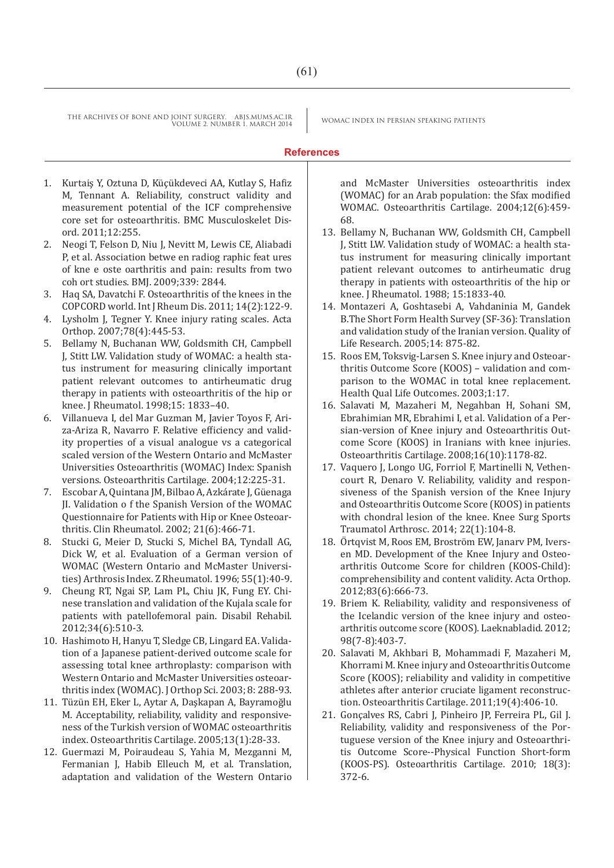# **References**

- 1. Kurtaiş Y, Oztuna D, Küçükdeveci AA, Kutlay S, Hafiz M, Tennant A. Reliability, construct validity and measurement potential of the ICF comprehensive core set for osteoarthritis. BMC Musculoskelet Disord. 2011;12:255.
- 2. Neogi T, Felson D, Niu J, Nevitt M, Lewis CE, Aliabadi P, et al. Association betwe en radiog raphic feat ures of kne e oste oarthritis and pain: results from two coh ort studies. BMJ. 2009;339: 2844.
- 3. Haq SA, Davatchi F. Osteoarthritis of the knees in the COPCORD world. Int J Rheum Dis. 2011; 14(2):122-9.
- 4. Lysholm J, Tegner Y. Knee injury rating scales. Acta Orthop. 2007;78(4):445-53.
- 5. Bellamy N, Buchanan WW, Goldsmith CH, Campbell J, Stitt LW. Validation study of WOMAC: a health status instrument for measuring clinically important patient relevant outcomes to antirheumatic drug therapy in patients with osteoarthritis of the hip or knee. J Rheumatol. 1998;15: 1833–40.
- 6. Villanueva I, del Mar Guzman M, Javier Toyos F, Ariza-Ariza R, Navarro F. Relative efficiency and validity properties of a visual analogue vs a categorical scaled version of the Western Ontario and McMaster Universities Osteoarthritis (WOMAC) Index: Spanish versions. Osteoarthritis Cartilage. 2004;12:225-31.
- 7. Escobar A, Quintana JM, Bilbao A, Azkárate J, Güenaga JI. Validation o f the Spanish Version of the WOMAC Questionnaire for Patients with Hip or Knee Osteoarthritis. Clin Rheumatol. 2002; 21(6):466-71.
- 8. Stucki G, Meier D, Stucki S, Michel BA, Tyndall AG, Dick W, et al. Evaluation of a German version of WOMAC (Western Ontario and McMaster Universities) Arthrosis Index. Z Rheumatol. 1996; 55(1):40-9.
- 9. Cheung RT, Ngai SP, Lam PL, Chiu JK, Fung EY. Chinese translation and validation of the Kujala scale for patients with patellofemoral pain. Disabil Rehabil. 2012;34(6):510-3.
- 10. Hashimoto H, Hanyu T, Sledge CB, Lingard EA. Validation of a Japanese patient-derived outcome scale for assessing total knee arthroplasty: comparison with Western Ontario and McMaster Universities osteoarthritis index (WOMAC). J Orthop Sci. 2003; 8: 288-93.
- 11. Tüzün EH, Eker L, Aytar A, Daşkapan A, Bayramoğlu M. Acceptability, reliability, validity and responsiveness of the Turkish version of WOMAC osteoarthritis index. Osteoarthritis Cartilage. 2005;13(1):28-33.
- 12. Guermazi M, Poiraudeau S, Yahia M, Mezganni M, Fermanian J, Habib Elleuch M, et al. Translation, adaptation and validation of the Western Ontario

and McMaster Universities osteoarthritis index (WOMAC) for an Arab population: the Sfax modified WOMAC. Osteoarthritis Cartilage. 2004;12(6):459- 68.

- 13. Bellamy N, Buchanan WW, Goldsmith CH, Campbell J, Stitt LW. Validation study of WOMAC: a health status instrument for measuring clinically important patient relevant outcomes to antirheumatic drug therapy in patients with osteoarthritis of the hip or knee. J Rheumatol. 1988; 15:1833-40.
- 14. Montazeri A, Goshtasebi A, Vahdaninia M, Gandek B.The Short Form Health Survey (SF-36): Translation and validation study of the Iranian version. Quality of Life Research. 2005;14: 875-82.
- 15. Roos EM, Toksvig-Larsen S. Knee injury and Osteoarthritis Outcome Score (KOOS) – validation and comparison to the WOMAC in total knee replacement. Health Qual Life Outcomes. 2003;1:17.
- 16. Salavati M, Mazaheri M, Negahban H, Sohani SM, Ebrahimian MR, Ebrahimi I, et al. Validation of a Persian-version of Knee injury and Osteoarthritis Outcome Score (KOOS) in Iranians with knee injuries. Osteoarthritis Cartilage. 2008;16(10):1178-82.
- 17. Vaquero J, Longo UG, Forriol F, Martinelli N, Vethencourt R, Denaro V. Reliability, validity and responsiveness of the Spanish version of the Knee Injury and Osteoarthritis Outcome Score (KOOS) in patients with chondral lesion of the knee. Knee Surg Sports Traumatol Arthrosc. 2014; 22(1):104-8.
- 18. Örtqvist M, Roos EM, Broström EW, Janary PM, Iversen MD. Development of the Knee Injury and Osteoarthritis Outcome Score for children (KOOS-Child): comprehensibility and content validity. Acta Orthop. 2012;83(6):666-73.
- 19. Briem K. Reliability, validity and responsiveness of the Icelandic version of the knee injury and osteoarthritis outcome score (KOOS). Laeknabladid. 2012; 98(7-8):403-7.
- 20. Salavati M, Akhbari B, Mohammadi F, Mazaheri M, Khorrami M. Knee injury and Osteoarthritis Outcome Score (KOOS); reliability and validity in competitive athletes after anterior cruciate ligament reconstruction. Osteoarthritis Cartilage. 2011;19(4):406-10.
- 21. Gonçalves RS, Cabri J, Pinheiro JP, Ferreira PL, Gil J. Reliability, validity and responsiveness of the Portuguese version of the Knee injury and Osteoarthritis Outcome Score--Physical Function Short-form (KOOS-PS). Osteoarthritis Cartilage. 2010; 18(3): 372-6.